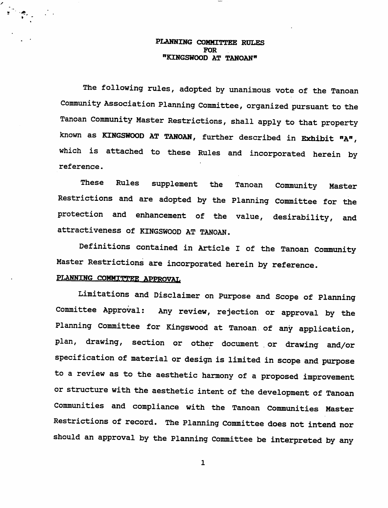#### PLANNING COMMITTEE RULES FOR "KINGSWOOD AT TANOAN"

The following rules, adopted by unanimous vote of the Tanoan Community Association Planning Committee, organized pursuant to the Tanoan Community Master Restrictions, shall apply to that property known as KINGSWOOD AT TANOAN, further described in Exhibit "A", which is attached to these Rules and incorporated herein by reference.

These Rules supplement the Tanoan Community Master Restrictions and are adopted by the Planning Committee for the protection and enhancement of the value, desirability, and attractiveness of KINGSWOOD AT TANOAN.

Definitions contained in Article I of the Tanoan Community Master Restrictions are incorporated herein by reference.

## PLANNING COMMITTEE APPROVAL

Limitations and Disclaimer on Purpose and Scope of Planning Committee Approval: Any review, rejection or approval by the Planning Committee for Kingswood at Tanoan of any application, plan, drawing, section or other document .or drawing and/or specification of material or design is limited in scope and purpose to a review as to the aesthetic harmony of a proposed improvement or structure with the aesthetic intent of the development of Tanoan Communities and compliance with the Tanoan Communities Master Restrictions of record. The Planning Committee does not intend nor should an approval by the Planning Committee be interpreted by any

 $\mathbf{1}$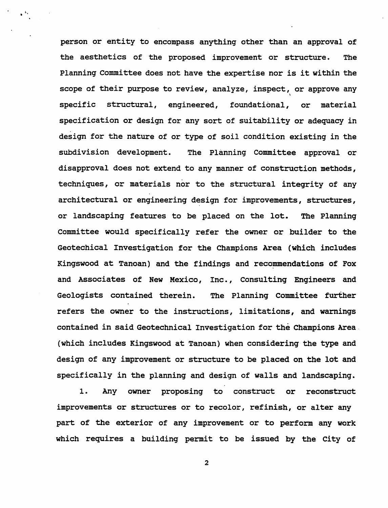person or entity to encompass anything other than an approval of the aesthetics of the proposed improvement or structure. The Planning Committee does not have the expertise nor is it within the scope of their purpose to review, analyze, inspect, or approve any specific structural, engineered, foundational, or material specification or design for any sort of suitability or adequacy in design for the nature of or type of soil condition existing in the subdivision development. The Planning Committee approval or disapproval does not extend to any manner of construction methods, techniques, or materials nor to the structural integrity of any architectural or engineering design for improvements, structures, or landscaping features to be placed on the lot. The Planning Committee would specifically refer the owner or builder to the Geotechical Investigation for the Champions Area (which includes Kingswood at Tanoan) and the findings and recommendations of Fox and Associates of New Mexico, Inc., Consulting Engineers and Geologists contained therein. The Planning Committee further refers the owner to the instructions, limitations, and warnings contained in said Geotechnical Investigation for the Champions Area (which includes Kingswood at Tanoan) when considering the type and design of any improvement or structure to be placed on the lot and specifically in the planning and design of walls and landscaping.

1. Any owner proposing to construct or reconstruct improvements or structures or to recolor, refinish, or alter any part of the exterior of any improvement or to perform any work which requires a building permit to be issued by the City of

 $\overline{2}$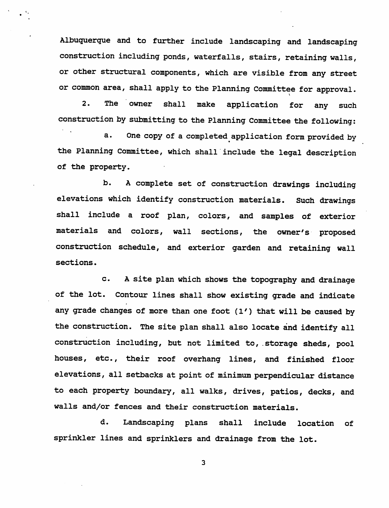Albuquerque and to further include landscaping and landscaping construction including ponds, waterfalls, stairs, retaining walls, or other structural components, which are visible from any street or common area, shall apply to the Planning Committee for approval.

2. The owner shall make application for any such construction by submitting to the Planning Committee the following:

a. One copy of a completed application form provided by the Planning Committee, which shall include the legal description of the property.

b. A complete set of construction drawings including elevations which identify construction materials. Such drawings shall include a roof plan, colors, and samples of exterior materials and colors, wall sections, the owner's proposed construction schedule, and exterior garden and retaining wall sections.

c. A site plan which shows the topography and drainage of the lot. Contour lines shall show existing grade and indicate any grade changes of more than one foot (1') that will be caused by the construction. The site plan shall also locate and identify all construction including, but not limited to, .storage sheds, pool houses, etc., their roof overhang lines, and finished floor elevations, all setbacks at point of minimum perpendicular distance to each property boundary, all walks, drives, patios, decks, and walls and/or fences and their construction materials.

d. Landscaping plans shall include location of sprinkler lines and sprinklers and drainage from the lot.

 $\overline{\mathbf{3}}$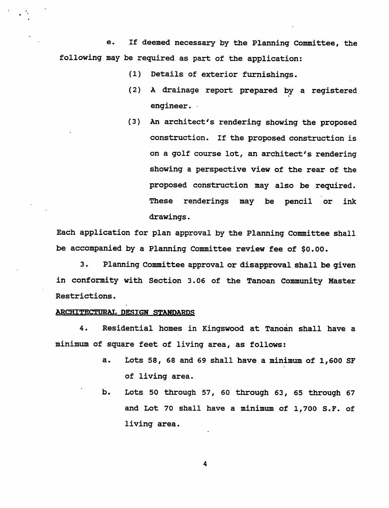e. If deemed necessary by the Planning Committee, the following may be required as part of the application:

- (1) Details of exterior furnishings.
- (2) A drainage report prepared by a registered engineer.
- (3) An architect's rendering showing the proposed construction. If the proposed construction is on a golf course lot, an architect's rendering showing a perspective view of the rear of the proposed construction may also be required. These renderings may be pencil or ink drawings.

Each application for plan approval by the Planning Committee shall be accompanied by a Planning Committee review fee of \$0.00.

3. Planning Committee approval or disapproval shall be given in conformity with Section 3.06 of the Tanoan Community Master Restrictions.

#### ARCHITECTURAL DESIGN STANDARDS

4. Residential homes in Kingswood at Tanoan shall have a minimum of square feet of living area, as follows:

- a. Lots 58, 68 and 69 shall have a minimum of 1,600 SF of living area.
- b. Lots 50 through 57, 60 through 63, 65 through 67 and Lot 70 shall have a minimum of 1,700 S.F. of living area.

 $\overline{\mathbf{4}}$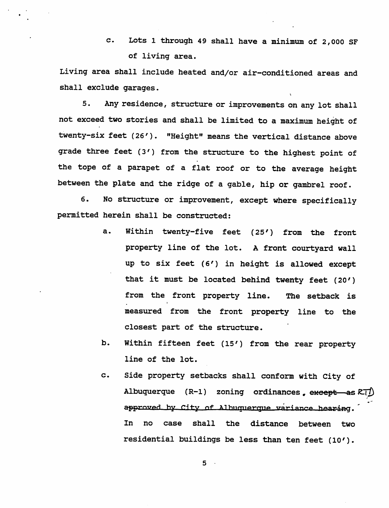c. Lots 1 through 49 shall have a minimum of 2,000 SF of living area.

Living area shall include heated and/or air-conditioned areas and shall exclude garages.

5. Any residence, structure or improvements on any lot shall not exceed two stories and shall be limited to a maximum height of twenty-six feet (26'). "Height" means the vertical distance above grade three feet (3') from the structure to the highest point of the tope of a parapet of a flat roof or to the average height between the plate and the ridge of a gable, hip or gambrel roof.

6. No structure or improvement, except where specifically permitted herein shall be constructed:

- a. Within twenty-five feet (25') from the front property line of the lot. A front courtyard wall up to six feet (6') in height is allowed except that it must be located behind twenty feet (20') from the front property line. The setback is measured from the front property line to the closest part of the structure.
- b. Within fifteen feet (15') from the rear property line of the lot.
- c. side property setbacks shall conform with City of Albuquerque (R-1) zoning ordinances except as RT<sup>1</sup> approved by City of Albuquerque variance hearing. In no case shall the distance between two residential buildings be less than ten feet (10').

 $5 -$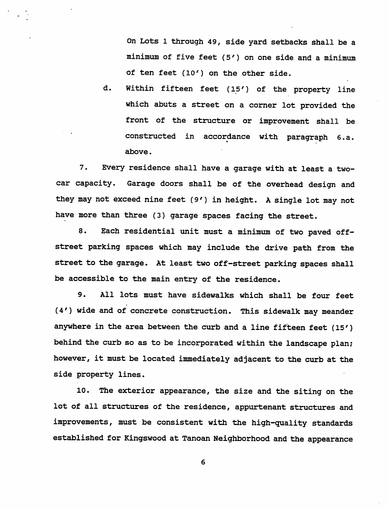On Lots 1 through 49, side yard setbacks shall be a minimum of five feet (5') on one side and a minimum of ten feet (10') on the other side,

d. Within fifteen feet (15') of the property line which abuts a street on a corner lot provided the front of the structure or improvement shall be constructed in accordance with paragraph 6.a. above.

7. Every residence shall have a garage with at least a twocar capacity. Garage doors shall be of the overhead design and they may not exceed nine feet (9') in height. A single lot may not have more than three (3) garage spaces facing the street.

8. Each residential unit must a minimum of two paved offstreet parking spaces which may include the drive path from the street to the garage. At least two off-street parking spaces shall be accessible to the main entry of the residence.

9. All lots must have sidewalks which shall be four feet (4') wide and of concrete construction. This sidewalk may meander anywhere in the area between the curb and a line fifteen feet (15') behind the curb so as to be incorporated within the landscape plan; however, it must be located immediately adjacent to the curb at the side property lines.

10. The exterior appearance, the size and the siting on the lot of all structures of the residence, appurtenant structures and improvements, must be consistent with the high-quality standards established for Kingswood at Tanoan Neighborhood and the appearance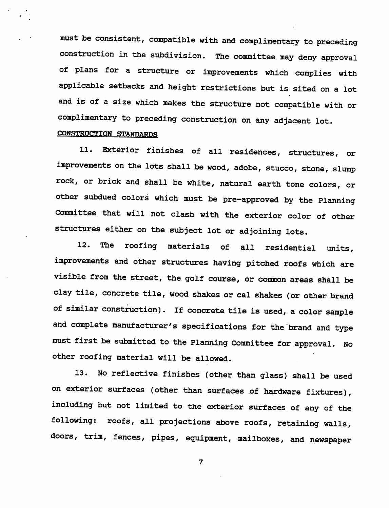must be consistent, compatible with and complimentary to preceding construction in the subdivision. The committee may deny approval of plans for a structure or improvements which complies with applicable setbacks and height restrictions but is sited on a lot and is of a size which makes the structure not compatible with or complimentary to preceding construction on any adjacent lot.

# *CONSTRUCTION STANTlAPnc;*

11. Exterior finishes of all residences, structures, or improvements on the lots shall be wood, adobe, stucco, stone, slump rock, or brick and shall be white, natural earth tone colors, or other subdued colors which must be pre-approved by the Planning Committee that will not clash with the exterior color of other structures either on the subject lot or adjoining lots.

12. The roofing materials of all residential units, improvements and other structures having pitched roofs which are visible from the street, the golf course, or common areas shall be clay tile, concrete tile, wood shakes or cal shakes (or other brand of similar construction), if concrete tile is used, a color sample and complete manufacturer's specifications for the brand and type must first be submitted to the Planning Committee for approval. No other roofing material will be allowed.

13. No reflective finishes (other than glass) shall be used on exterior surfaces (other than surfaces of hardware fixtures), including but not limited to the exterior surfaces of any of the following: roofs, all projections above roofs, retaining walls, doors, trim, fences, pipes, equipment, mailboxes, and newspaper

 $\overline{7}$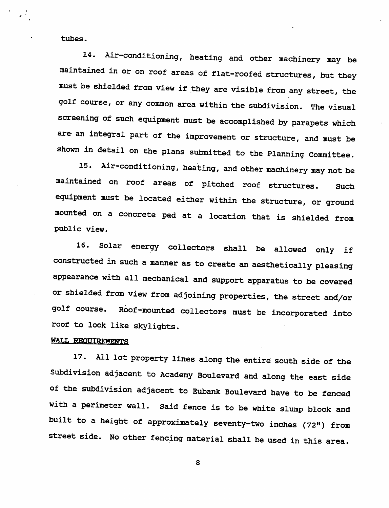tubes.

14. Air-conditioning, heating and other machinery may be maintained in or on roof areas of flat-roofed structures, but they must be shielded from view if they are visible from any street, the golf course, or any common area within the subdivision. The visual screening of such equipment must be accomplished by parapets which are an integral part of the improvement or structure, and must be shown in detail on the plans submitted to the Planning Committee.

15. Air-conditioning, heating, and other machinery may not be maintained on roof areas of pitched roof structures. Such equipment must be located either within the structure, or ground mounted on a concrete pad at a location that is shielded from public view.

16. Solar energy collectors shall be allowed only if constructed in such a manner as to create an aesthetically pleasing appearance with all mechanical and support apparatus to be covered or shielded from view from adjoining properties, the street and/or golf course. Roof-mounted collectors must be incorporated into roof to look like skylights.

### **WALL REOUTREMENTS**

17. All lot property lines along the entire south side of the Subdivision adjacent to Academy Boulevard and along the east side of the subdivision adjacent to Eubank Boulevard have to be fenced with a perimeter wall. Said fence is to be white slump block and built to a height of approximately seventy-two inches (72") from street side. No other fencing material shall be used in this area.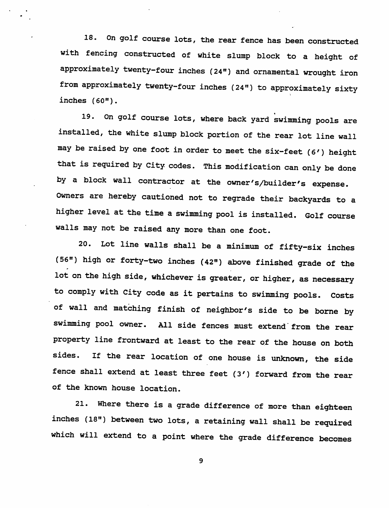18. On golf course lots, the rear fence has been constructed with fencing constructed of white slump block to a height of approximately twenty-four inches (24") and ornamental wrought iron from approximately twenty-four inches (24") to approximately sixty inches (60").

19. on golf course lots, where back yard swimming pools are installed, the white slump block portion of the rear lot line wall may be raised by one foot in order to meet the six-feet (6') height that is required by city codes. This modification can only be done by a block wall contractor at the owner's/builder's expense. Owners are hereby cautioned not to regrade their backyards to a higher level at the time a swimming pool is installed. Golf course walls may not be raised any more than one foot.

20. Lot line walls shall be a minimum of fifty-six inches (56") high or forty-two inches (42") above finished grade of the lot on the high side, whichever is greater, or higher, as necessary to comply with City code as it pertains to swimming pools. Costs of wall and matching finish of neighbor's side to be borne by swimming pool owner. All side fences must extend from the rear property line frontward at least to the rear of the house on both sides. If the rear location of one house is unknown, the side fence shall extend at least three feet (3') forward from the rear of the known house location.

21. Where there is a grade difference of more than eighteen inches (18") between two lots, a retaining wall shall be required which will extend to a point where the grade difference becomes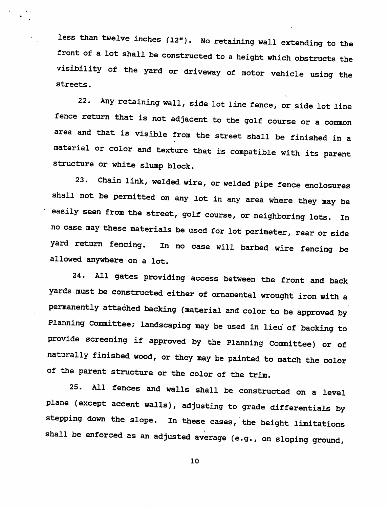less than twelve inches  $(12<sup>n</sup>)$ . No retaining wall extending to the front of a lot shall be constructed to a height which obstructs the visibility of the yard or driveway of motor vehicle using the streets.

22. Any retaining wall, side lot line fence, or side lot line fence return that is not adjacent to the golf course or a common area and that is visible from the street shall be finished in a material or color and texture that is compatible with its parent structure or white slump block.

23. Chain link, welded wire, or welded pipe fence enclosures shall not be permitted on any lot in any area where they may be easily seen from the street, golf course, or neighboring lots. In no case may these materials be used for lot perimeter, rear or side yard return fencing. In no case will barbed wire fencing be allowed anywhere on a lot.

24. All gates providing access between the front and back yards must be constructed either of ornamental wrought iron with a permanently attached backing (material and color to be approved by Planning Committee; landscaping may be used in lieu of backing to provide screening if approved by the Planning Committee) or of naturally finished wood, or they may be painted to match the color of the parent structure or the color of the trim.

25. All fences and walls shall be constructed on a level plane (except accent walls), adjusting to grade differentials by stepping down the slope, in these cases, the height limitations shall be enforced as an adjusted average (e.g., on sloping ground,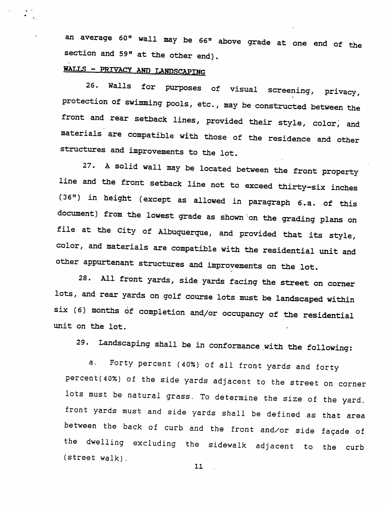an average 60" wall may be 66" above grade at one end of the section and 59" at the other end).

# *W.T.TS - PRIVACY AUD TAMrer^PJjgg*

26. Walls for purposes of visual screening, privacy, protection of swimming pools, etc., may be constructed between the front and rear setback lines, provided their style, color, and materials are compatible with those of the residence and other structures and improvements to the lot.

27. A solid wall may be located between the front property line and the front setback line not to exceed thirty-six inches (36») in height (except as allowed in paragraph 6.a. of this document) from the lowest grade as shown on the grading plans on file at the City of Albuquerque, and provided that its style, color, and materials are compatible with the residential unit and other appurtenant structures and improvements on the lot.

28. All front yards, side yards facing the street on corner lots, and rear yards on golf course lots must be landscaped within six (6) months of completion and/or occupancy of the residential unit on the lot.

29. Landscaping shall be in conformance with the following:

a. Forty percent (40%) of all front yards and forty percent(40%) of the side yards adjacent to the street on corner lots must be natural grass. To determine the size of the yard, front yards must and side yards shall be defined as that area between the back of curb and the front and/or side facade of the dwelling excluding the sidewalk adjacent to the curb (street walk).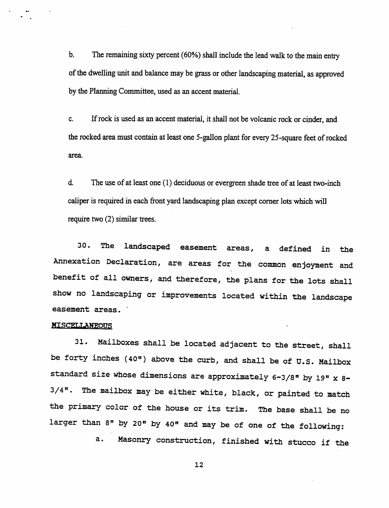*b. The remaining sixty percent (60%) shall include the lead walk to the main entry of the dwelling unit and balance maybe grass or other landscaping material, as approved by the Planning Committee, used as an accent material.*

*c. Ifrock is used as an accentmaterial, it shallnot be volcanic rock or cinder, and therocked area must contain atleast one5-gallon plant for every 25-square feet ofrocked area.*

*& The use of at least one (1) deciduous or evergreen shade tree of at least two-inch caliper is required in each front yardlandscaping plan except cornerlots which will require two (2) similar trees.*

30. The landscaped easement areas, a defined in the Annexation Declaration, are areas for the common enjoyment and benefit of all owners, and therefore, the plans for the lots shall show no landscaping or improvements located within the landscape easement areas.

#### *MISCEUANEOnf!*

31. Mailboxes shall be located adjacent to the street, shall be forty inches (40") above the curb, and shall be of U.S. Mailbox standard size whose dimensions are approximately 6-3/8" by 19" x 8-3/4". The mailbox may be either white, black, or painted to match the primary color of the house or its trim. The base shall be no larger than 8" by 20" by 40" and may be of one of the following:

a. Masonry construction, finished with stucco if the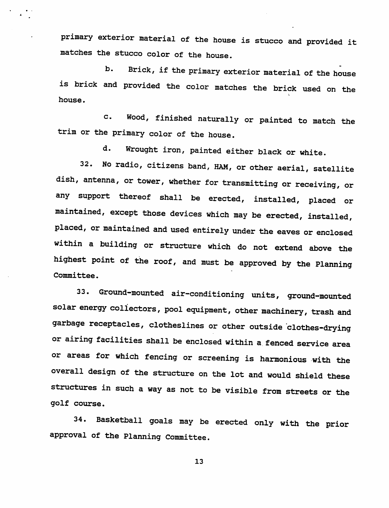primary exterior material of the house is stucco and provided it matches the stucco color of the house.

b. Brick, if the primary exterior material of the house is brick and provided the color matches the brick used on the house.

c. Wood, finished naturally or painted to match the trim or the primary color of the house.

d. Wrought iron, painted either black or white.

32. No radio, citizens band, HAM, or other aerial, satellite dish, antenna, or tower, whether for transmitting or receiving, or any support thereof shall be erected, installed, placed or maintained, except those devices which may be erected, installed, placed, or maintained and used entirely under the eaves or enclosed within a building or structure which do not extend above the highest point of the roof, and must be approved by the Planning Committee.

33. Ground-mounted air-conditioning units, ground-mounted solar energy collectors, pool equipment, other machinery, trash and garbage receptacles, clotheslines or other outside clothes-drying or airing facilities shall be enclosed within a fenced service area or areas for which fencing or screening is harmonious with the overall design of the structure on the lot and would shield these structures in such a way as not to be visible from streets or the golf course.

34. Basketball goals may be erected only with the prior approval of the Planning Committee.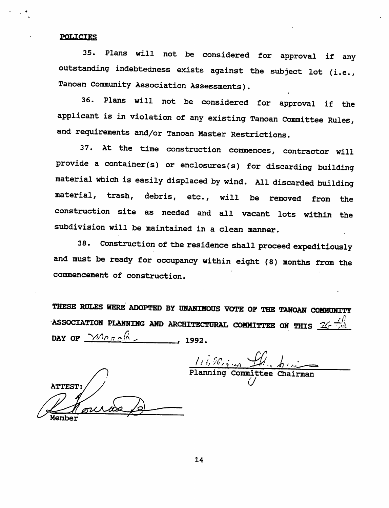#### **POLICIES**

35. Plans will not be considered for approval if any outstanding indebtedness exists against the subject lot (i.e., Tanoan Community Association Assessments).

36. Plans will not be considered for approval if the applicant is in violation of any existing Tanoan Committee Rules, and requirements and/or Tanoan Master Restrictions.

37. At the time construction commences, contractor will provide a container(s) or enclosures(s) for discarding building material which is easily displaced by wind. All discarded building material, trash, debris, etc., will be removed from the construction site as needed and all vacant lots within the subdivision will be maintained in a clean manner.

38. Construction of the residence shall proceed expeditiously and must be ready for occupancy within eight (8) months from the commencement of construction.

THESE RULES WERE ADOPTED BY UNANIMOUS VOTE OF THE TANOAN COMMUNITY ASSOCIATION PLANNING AND ARCHITECTURAL COMMITTEE ON THIS  $\mathcal{L}_f$   $\mathcal{L}_m$ DAY OF  $\frac{\text{Mncl}}{\text{M}}$ 

 $\frac{1}{\frac{1}{2} \sum_{i=1}^{n} a_i}$ Planning Committee

*a*

**ATTEST** Member